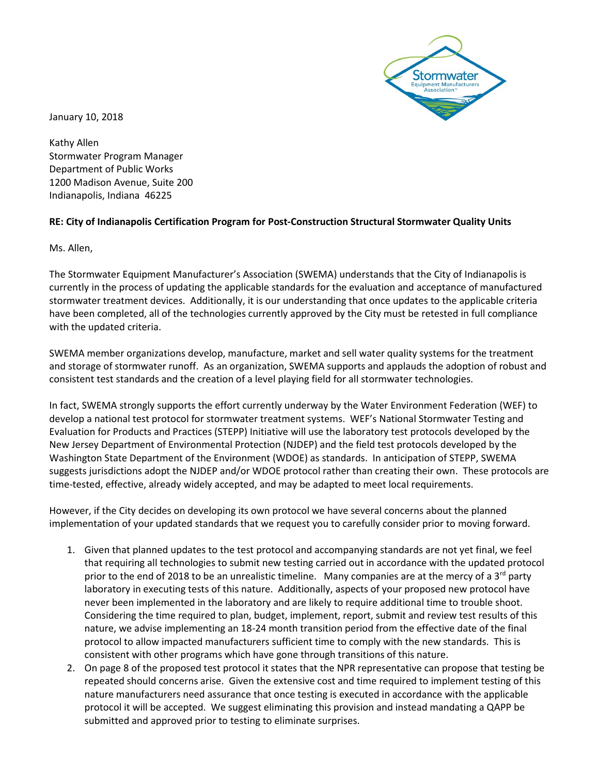Stormwater

January 10, 2018

Kathy Allen Stormwater Program Manager Department of Public Works 1200 Madison Avenue, Suite 200 Indianapolis, Indiana 46225

## **RE: City of Indianapolis Certification Program for Post-Construction Structural Stormwater Quality Units**

Ms. Allen,

The Stormwater Equipment Manufacturer's Association (SWEMA) understands that the City of Indianapolis is currently in the process of updating the applicable standards for the evaluation and acceptance of manufactured stormwater treatment devices. Additionally, it is our understanding that once updates to the applicable criteria have been completed, all of the technologies currently approved by the City must be retested in full compliance with the updated criteria.

SWEMA member organizations develop, manufacture, market and sell water quality systems for the treatment and storage of stormwater runoff. As an organization, SWEMA supports and applauds the adoption of robust and consistent test standards and the creation of a level playing field for all stormwater technologies.

In fact, SWEMA strongly supports the effort currently underway by the Water Environment Federation (WEF) to develop a national test protocol for stormwater treatment systems. WEF's National Stormwater Testing and Evaluation for Products and Practices (STEPP) Initiative will use the laboratory test protocols developed by the New Jersey Department of Environmental Protection (NJDEP) and the field test protocols developed by the Washington State Department of the Environment (WDOE) as standards. In anticipation of STEPP, SWEMA suggests jurisdictions adopt the NJDEP and/or WDOE protocol rather than creating their own. These protocols are time-tested, effective, already widely accepted, and may be adapted to meet local requirements.

However, if the City decides on developing its own protocol we have several concerns about the planned implementation of your updated standards that we request you to carefully consider prior to moving forward.

- 1. Given that planned updates to the test protocol and accompanying standards are not yet final, we feel that requiring all technologies to submit new testing carried out in accordance with the updated protocol prior to the end of 2018 to be an unrealistic timeline. Many companies are at the mercy of a  $3^{rd}$  party laboratory in executing tests of this nature. Additionally, aspects of your proposed new protocol have never been implemented in the laboratory and are likely to require additional time to trouble shoot. Considering the time required to plan, budget, implement, report, submit and review test results of this nature, we advise implementing an 18-24 month transition period from the effective date of the final protocol to allow impacted manufacturers sufficient time to comply with the new standards. This is consistent with other programs which have gone through transitions of this nature.
- 2. On page 8 of the proposed test protocol it states that the NPR representative can propose that testing be repeated should concerns arise. Given the extensive cost and time required to implement testing of this nature manufacturers need assurance that once testing is executed in accordance with the applicable protocol it will be accepted. We suggest eliminating this provision and instead mandating a QAPP be submitted and approved prior to testing to eliminate surprises.